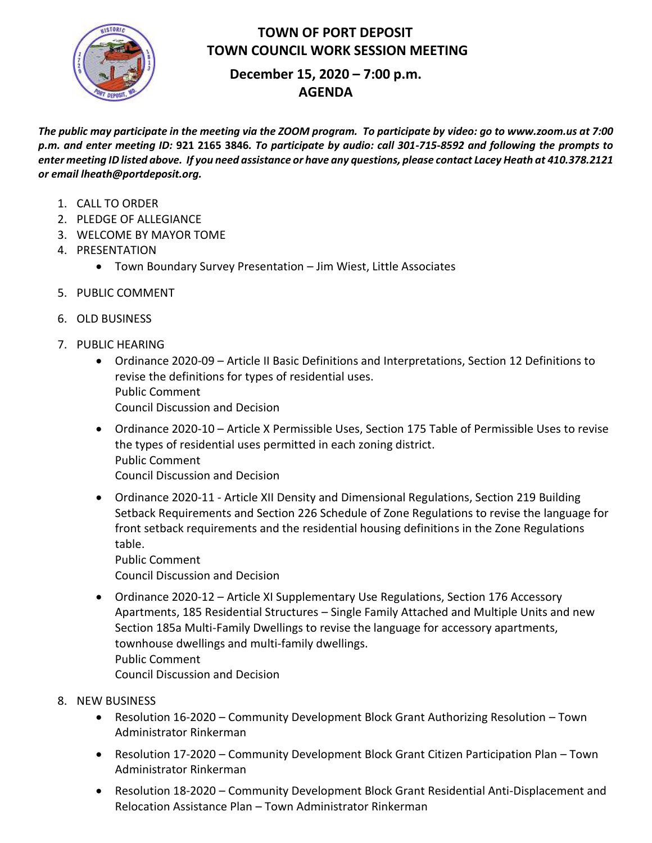

## **TOWN OF PORT DEPOSIT TOWN COUNCIL WORK SESSION MEETING**

# **December 15, 2020 – 7:00 p.m. AGENDA**

*The public may participate in the meeting via the ZOOM program. To participate by video: go to www.zoom.us at 7:00 p.m. and enter meeting ID:* **921 2165 3846***. To participate by audio: call 301-715-8592 and following the prompts to enter meeting ID listed above. If you need assistance or have any questions, please contact Lacey Heath at 410.378.2121 or email lheath@portdeposit.org.* 

- 1. CALL TO ORDER
- 2. PLEDGE OF ALLEGIANCE
- 3. WELCOME BY MAYOR TOME
- 4. PRESENTATION
	- Town Boundary Survey Presentation Jim Wiest, Little Associates
- 5. PUBLIC COMMENT
- 6. OLD BUSINESS
- 7. PUBLIC HEARING
	- Ordinance 2020-09 Article II Basic Definitions and Interpretations, Section 12 Definitions to revise the definitions for types of residential uses. Public Comment Council Discussion and Decision
	- Ordinance 2020-10 Article X Permissible Uses, Section 175 Table of Permissible Uses to revise the types of residential uses permitted in each zoning district. Public Comment Council Discussion and Decision
	- Ordinance 2020-11 Article XII Density and Dimensional Regulations, Section 219 Building Setback Requirements and Section 226 Schedule of Zone Regulations to revise the language for front setback requirements and the residential housing definitions in the Zone Regulations table.

Public Comment Council Discussion and Decision

- Ordinance 2020-12 Article XI Supplementary Use Regulations, Section 176 Accessory Apartments, 185 Residential Structures – Single Family Attached and Multiple Units and new Section 185a Multi-Family Dwellings to revise the language for accessory apartments, townhouse dwellings and multi-family dwellings. Public Comment Council Discussion and Decision
- 8. NEW BUSINESS
	- Resolution 16-2020 Community Development Block Grant Authorizing Resolution Town Administrator Rinkerman
	- Resolution 17-2020 Community Development Block Grant Citizen Participation Plan Town Administrator Rinkerman
	- Resolution 18-2020 Community Development Block Grant Residential Anti-Displacement and Relocation Assistance Plan – Town Administrator Rinkerman